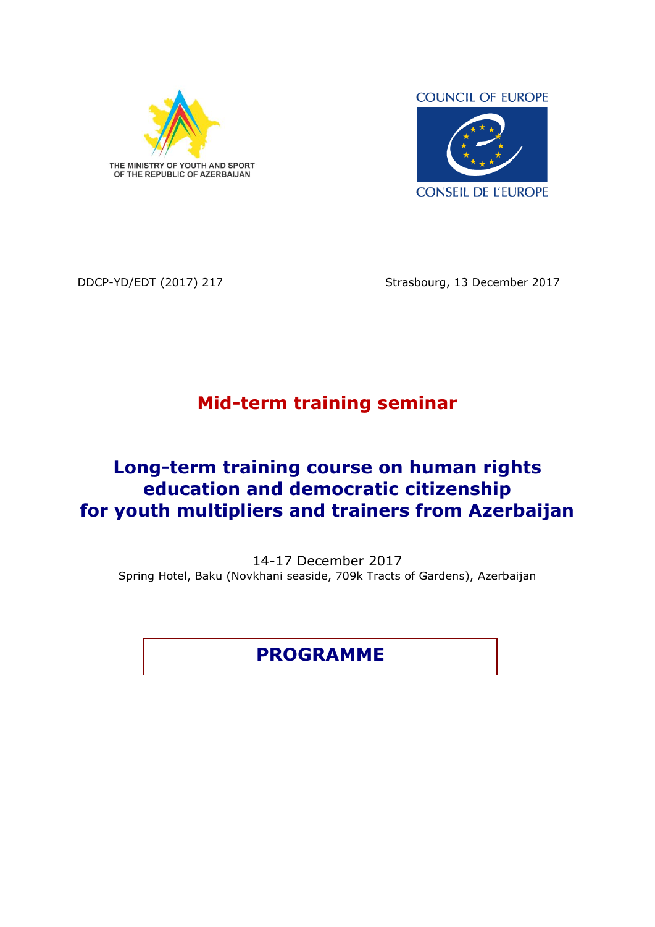

**COUNCIL OF EUROPE** 



DDCP-YD/EDT (2017) 217 Strasbourg, 13 December 2017

## **Mid-term training seminar**

## **Long-term training course on human rights education and democratic citizenship for youth multipliers and trainers from Azerbaijan**

14-17 December 2017 Spring Hotel, Baku (Novkhani seaside, 709k Tracts of Gardens), Azerbaijan

**PROGRAMME**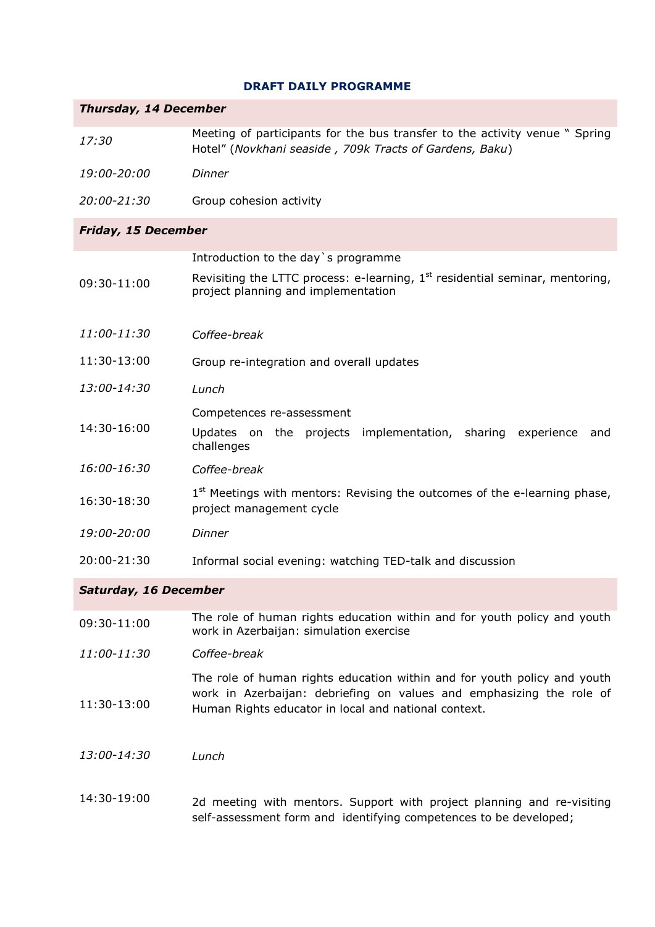## **DRAFT DAILY PROGRAMME**

| <b>Thursday, 14 December</b> |                                                                                                                                                                                                          |  |
|------------------------------|----------------------------------------------------------------------------------------------------------------------------------------------------------------------------------------------------------|--|
| 17:30                        | Meeting of participants for the bus transfer to the activity venue " Spring<br>Hotel" (Novkhani seaside, 709k Tracts of Gardens, Baku)                                                                   |  |
| 19:00-20:00                  | Dinner                                                                                                                                                                                                   |  |
| 20:00-21:30                  | Group cohesion activity                                                                                                                                                                                  |  |
| <b>Friday, 15 December</b>   |                                                                                                                                                                                                          |  |
| 09:30-11:00                  | Introduction to the day's programme<br>Revisiting the LTTC process: e-learning, 1 <sup>st</sup> residential seminar, mentoring,<br>project planning and implementation                                   |  |
| 11:00-11:30                  | Coffee-break                                                                                                                                                                                             |  |
| 11:30-13:00                  | Group re-integration and overall updates                                                                                                                                                                 |  |
| 13:00-14:30                  | Lunch                                                                                                                                                                                                    |  |
| 14:30-16:00                  | Competences re-assessment<br>Updates on the projects implementation, sharing experience<br>and<br>challenges                                                                                             |  |
| 16:00-16:30                  | Coffee-break                                                                                                                                                                                             |  |
| 16:30-18:30                  | 1 <sup>st</sup> Meetings with mentors: Revising the outcomes of the e-learning phase,<br>project management cycle                                                                                        |  |
| 19:00-20:00                  | Dinner                                                                                                                                                                                                   |  |
| 20:00-21:30                  | Informal social evening: watching TED-talk and discussion                                                                                                                                                |  |
| <b>Saturday, 16 December</b> |                                                                                                                                                                                                          |  |
| 09:30-11:00                  | The role of human rights education within and for youth policy and youth<br>work in Azerbaijan: simulation exercise                                                                                      |  |
| 11:00-11:30                  | Coffee-break                                                                                                                                                                                             |  |
| 11:30-13:00                  | The role of human rights education within and for youth policy and youth<br>work in Azerbaijan: debriefing on values and emphasizing the role of<br>Human Rights educator in local and national context. |  |
| <i>13:00-14:30</i>           | Lunch                                                                                                                                                                                                    |  |
| 14:30-19:00                  | 2d meeting with mentors. Support with project planning and re-visiting<br>self-assessment form and identifying competences to be developed;                                                              |  |